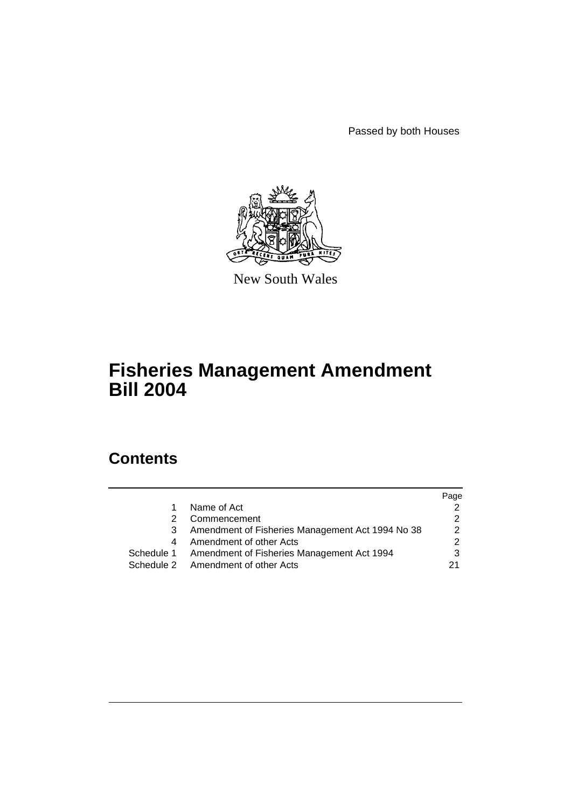Passed by both Houses



New South Wales

# **Fisheries Management Amendment Bill 2004**

# **Contents**

|   |                                                       | Page |
|---|-------------------------------------------------------|------|
| 1 | Name of Act                                           |      |
| 2 | Commencement                                          |      |
| 3 | Amendment of Fisheries Management Act 1994 No 38      | 2    |
| 4 | Amendment of other Acts                               | っ    |
|   | Schedule 1 Amendment of Fisheries Management Act 1994 |      |
|   | Schedule 2 Amendment of other Acts                    | 21   |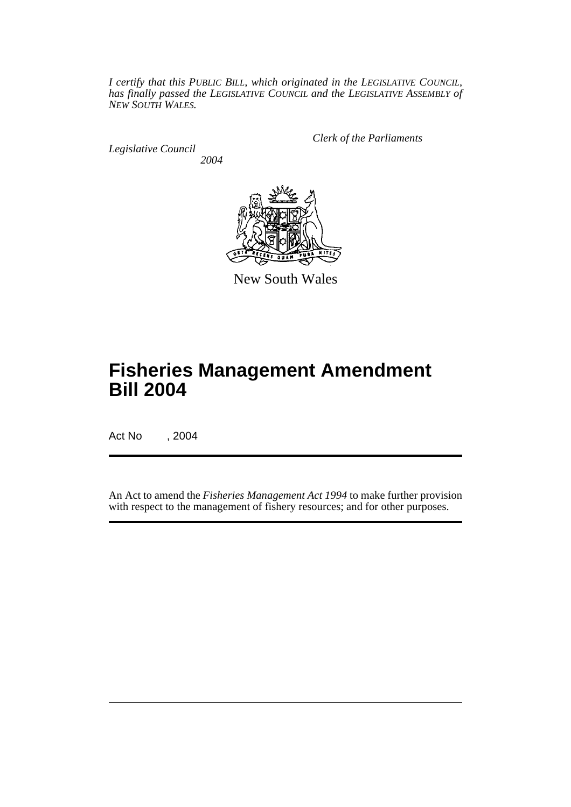*I certify that this PUBLIC BILL, which originated in the LEGISLATIVE COUNCIL, has finally passed the LEGISLATIVE COUNCIL and the LEGISLATIVE ASSEMBLY of NEW SOUTH WALES.*

*Legislative Council 2004* *Clerk of the Parliaments*



New South Wales

# **Fisheries Management Amendment Bill 2004**

Act No , 2004

An Act to amend the *Fisheries Management Act 1994* to make further provision with respect to the management of fishery resources; and for other purposes.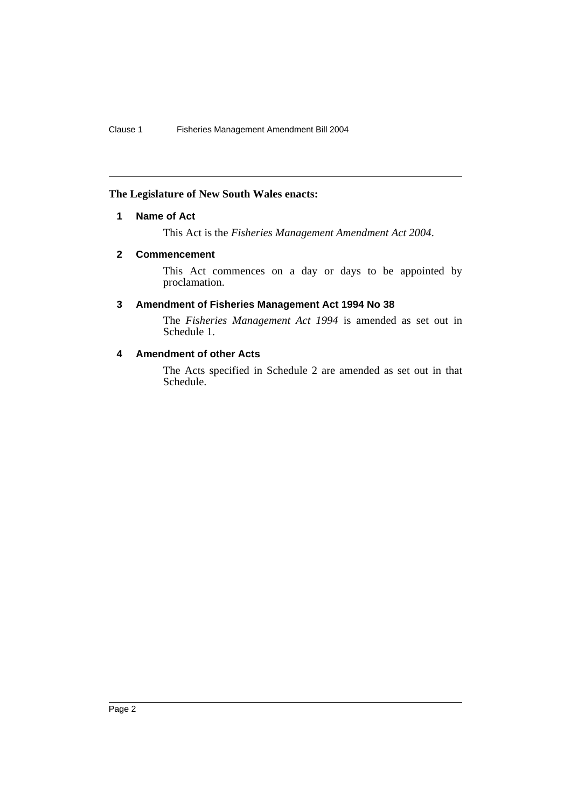## **The Legislature of New South Wales enacts:**

## **1 Name of Act**

This Act is the *Fisheries Management Amendment Act 2004*.

## **2 Commencement**

This Act commences on a day or days to be appointed by proclamation.

## **3 Amendment of Fisheries Management Act 1994 No 38**

The *Fisheries Management Act 1994* is amended as set out in Schedule 1.

## **4 Amendment of other Acts**

The Acts specified in Schedule 2 are amended as set out in that Schedule.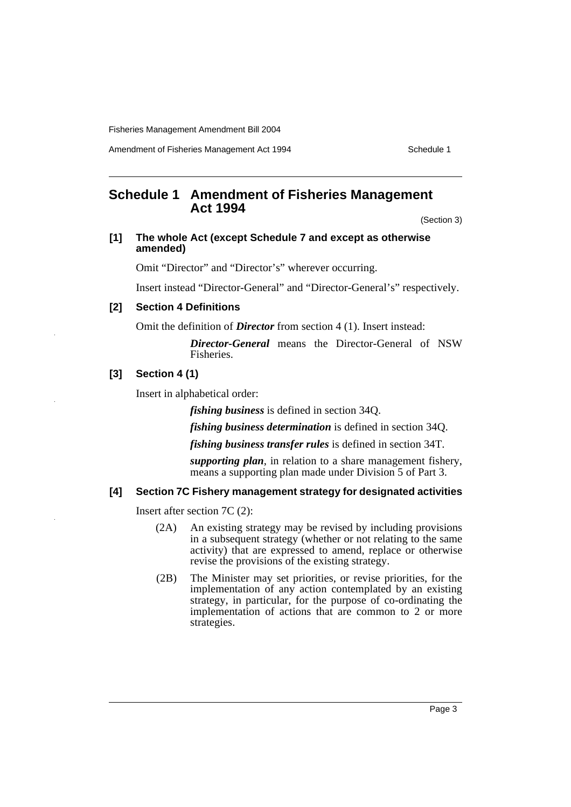Amendment of Fisheries Management Act 1994 Schedule 1

## **Schedule 1 Amendment of Fisheries Management Act 1994**

(Section 3)

#### **[1] The whole Act (except Schedule 7 and except as otherwise amended)**

Omit "Director" and "Director's" wherever occurring.

Insert instead "Director-General" and "Director-General's" respectively.

## **[2] Section 4 Definitions**

Omit the definition of *Director* from section 4 (1). Insert instead:

*Director-General* means the Director-General of NSW Fisheries.

## **[3] Section 4 (1)**

Insert in alphabetical order:

*fishing business* is defined in section 34Q.

*fishing business determination* is defined in section 34Q.

*fishing business transfer rules* is defined in section 34T.

*supporting plan*, in relation to a share management fishery, means a supporting plan made under Division 5 of Part 3.

## **[4] Section 7C Fishery management strategy for designated activities**

Insert after section 7C (2):

- (2A) An existing strategy may be revised by including provisions in a subsequent strategy (whether or not relating to the same activity) that are expressed to amend, replace or otherwise revise the provisions of the existing strategy.
- (2B) The Minister may set priorities, or revise priorities, for the implementation of any action contemplated by an existing strategy, in particular, for the purpose of co-ordinating the implementation of actions that are common to 2 or more strategies.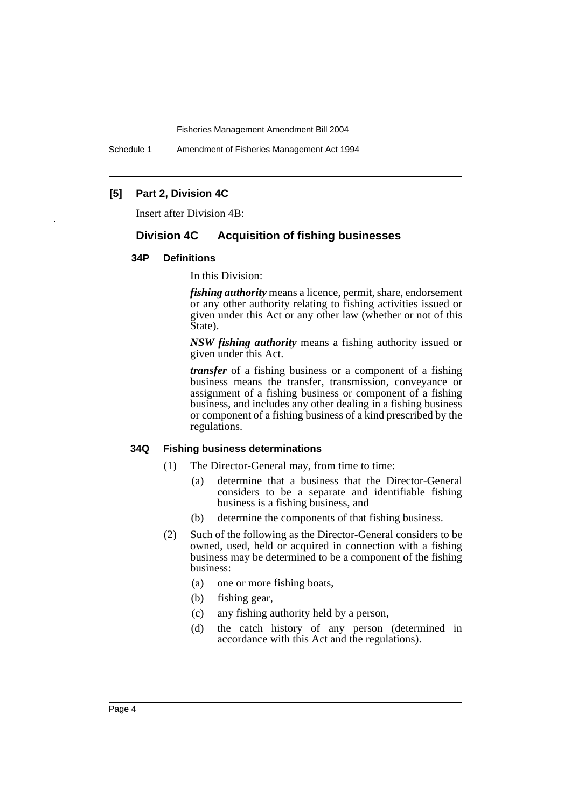Schedule 1 Amendment of Fisheries Management Act 1994

## **[5] Part 2, Division 4C**

Insert after Division 4B:

## **Division 4C Acquisition of fishing businesses**

#### **34P Definitions**

In this Division:

*fishing authority* means a licence, permit, share, endorsement or any other authority relating to fishing activities issued or given under this Act or any other law (whether or not of this State).

*NSW fishing authority* means a fishing authority issued or given under this Act.

*transfer* of a fishing business or a component of a fishing business means the transfer, transmission, conveyance or assignment of a fishing business or component of a fishing business, and includes any other dealing in a fishing business or component of a fishing business of a kind prescribed by the regulations.

#### **34Q Fishing business determinations**

- (1) The Director-General may, from time to time:
	- (a) determine that a business that the Director-General considers to be a separate and identifiable fishing business is a fishing business, and
	- (b) determine the components of that fishing business.
- (2) Such of the following as the Director-General considers to be owned, used, held or acquired in connection with a fishing business may be determined to be a component of the fishing business:
	- (a) one or more fishing boats,
	- (b) fishing gear,
	- (c) any fishing authority held by a person,
	- (d) the catch history of any person (determined in accordance with this Act and the regulations).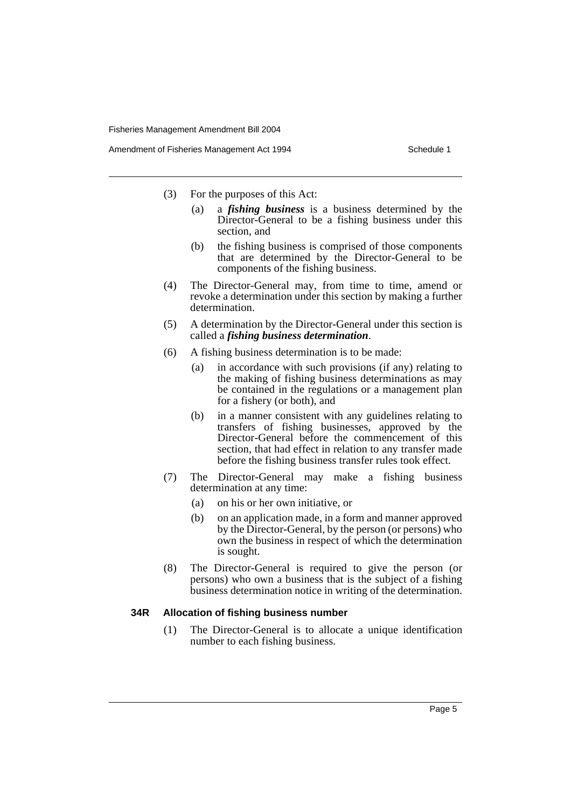- (3) For the purposes of this Act:
	- (a) a *fishing business* is a business determined by the Director-General to be a fishing business under this section, and
	- (b) the fishing business is comprised of those components that are determined by the Director-General to be components of the fishing business.
- (4) The Director-General may, from time to time, amend or revoke a determination under this section by making a further determination.
- (5) A determination by the Director-General under this section is called a *fishing business determination*.
- (6) A fishing business determination is to be made:
	- (a) in accordance with such provisions (if any) relating to the making of fishing business determinations as may be contained in the regulations or a management plan for a fishery (or both), and
	- (b) in a manner consistent with any guidelines relating to transfers of fishing businesses, approved by the Director-General before the commencement of this section, that had effect in relation to any transfer made before the fishing business transfer rules took effect.
- (7) The Director-General may make a fishing business determination at any time:
	- (a) on his or her own initiative, or
	- (b) on an application made, in a form and manner approved by the Director-General, by the person (or persons) who own the business in respect of which the determination is sought.
- (8) The Director-General is required to give the person (or persons) who own a business that is the subject of a fishing business determination notice in writing of the determination.

#### **34R Allocation of fishing business number**

(1) The Director-General is to allocate a unique identification number to each fishing business.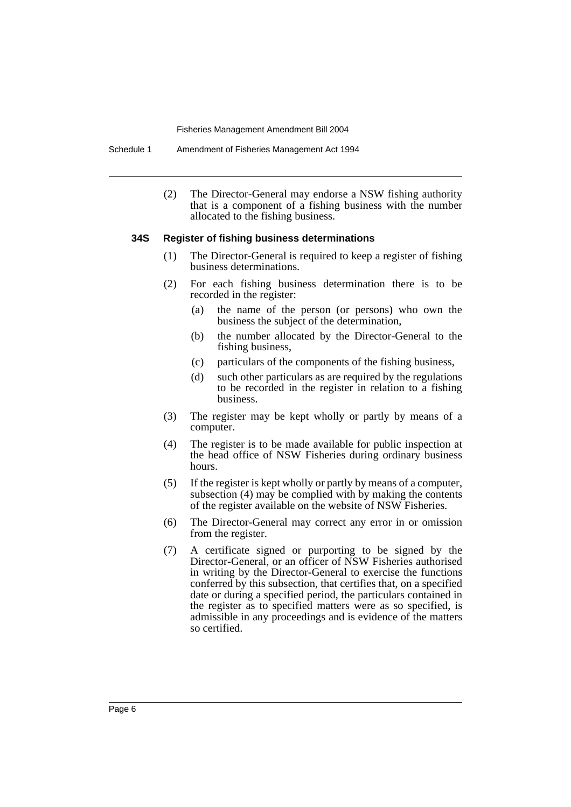Schedule 1 Amendment of Fisheries Management Act 1994

(2) The Director-General may endorse a NSW fishing authority that is a component of a fishing business with the number allocated to the fishing business.

#### **34S Register of fishing business determinations**

- (1) The Director-General is required to keep a register of fishing business determinations.
- (2) For each fishing business determination there is to be recorded in the register:
	- (a) the name of the person (or persons) who own the business the subject of the determination,
	- (b) the number allocated by the Director-General to the fishing business,
	- (c) particulars of the components of the fishing business,
	- (d) such other particulars as are required by the regulations to be recorded in the register in relation to a fishing business.
- (3) The register may be kept wholly or partly by means of a computer.
- (4) The register is to be made available for public inspection at the head office of NSW Fisheries during ordinary business hours.
- (5) If the register is kept wholly or partly by means of a computer, subsection (4) may be complied with by making the contents of the register available on the website of NSW Fisheries.
- (6) The Director-General may correct any error in or omission from the register.
- (7) A certificate signed or purporting to be signed by the Director-General, or an officer of NSW Fisheries authorised in writing by the Director-General to exercise the functions conferred by this subsection, that certifies that, on a specified date or during a specified period, the particulars contained in the register as to specified matters were as so specified, is admissible in any proceedings and is evidence of the matters so certified.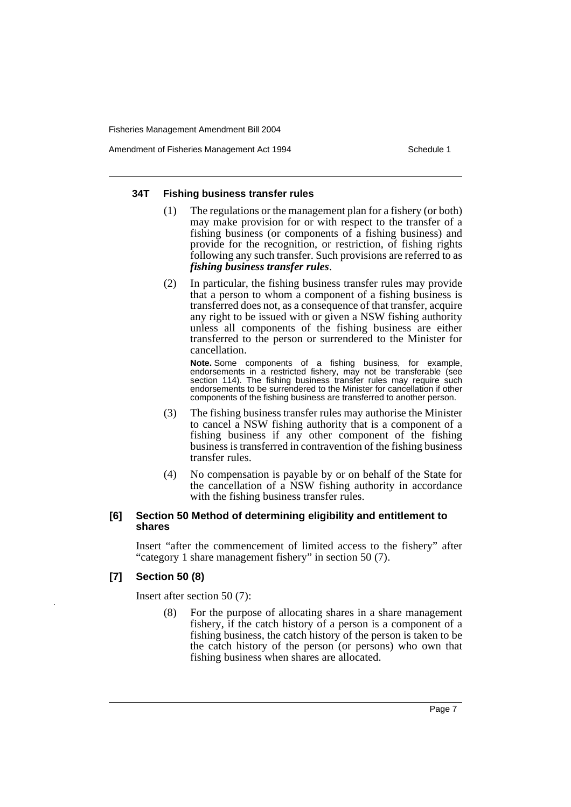Amendment of Fisheries Management Act 1994 Schedule 1

#### **34T Fishing business transfer rules**

- (1) The regulations or the management plan for a fishery (or both) may make provision for or with respect to the transfer of a fishing business (or components of a fishing business) and provide for the recognition, or restriction, of fishing rights following any such transfer. Such provisions are referred to as *fishing business transfer rules*.
- (2) In particular, the fishing business transfer rules may provide that a person to whom a component of a fishing business is transferred does not, as a consequence of that transfer, acquire any right to be issued with or given a NSW fishing authority unless all components of the fishing business are either transferred to the person or surrendered to the Minister for cancellation.

**Note.** Some components of a fishing business, for example, endorsements in a restricted fishery, may not be transferable (see section 114). The fishing business transfer rules may require such endorsements to be surrendered to the Minister for cancellation if other components of the fishing business are transferred to another person.

- (3) The fishing business transfer rules may authorise the Minister to cancel a NSW fishing authority that is a component of a fishing business if any other component of the fishing business is transferred in contravention of the fishing business transfer rules.
- (4) No compensation is payable by or on behalf of the State for the cancellation of a NSW fishing authority in accordance with the fishing business transfer rules.

#### **[6] Section 50 Method of determining eligibility and entitlement to shares**

Insert "after the commencement of limited access to the fishery" after "category 1 share management fishery" in section 50 (7).

## **[7] Section 50 (8)**

Insert after section 50 (7):

(8) For the purpose of allocating shares in a share management fishery, if the catch history of a person is a component of a fishing business, the catch history of the person is taken to be the catch history of the person (or persons) who own that fishing business when shares are allocated.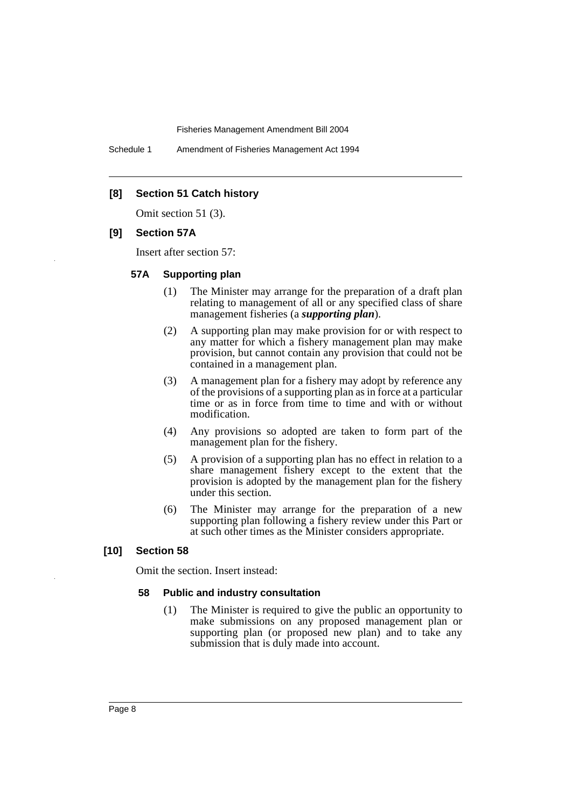Schedule 1 Amendment of Fisheries Management Act 1994

## **[8] Section 51 Catch history**

Omit section 51 (3).

#### **[9] Section 57A**

Insert after section 57:

#### **57A Supporting plan**

- (1) The Minister may arrange for the preparation of a draft plan relating to management of all or any specified class of share management fisheries (a *supporting plan*).
- (2) A supporting plan may make provision for or with respect to any matter for which a fishery management plan may make provision, but cannot contain any provision that could not be contained in a management plan.
- (3) A management plan for a fishery may adopt by reference any of the provisions of a supporting plan as in force at a particular time or as in force from time to time and with or without modification.
- (4) Any provisions so adopted are taken to form part of the management plan for the fishery.
- (5) A provision of a supporting plan has no effect in relation to a share management fishery except to the extent that the provision is adopted by the management plan for the fishery under this section.
- (6) The Minister may arrange for the preparation of a new supporting plan following a fishery review under this Part or at such other times as the Minister considers appropriate.

## **[10] Section 58**

Omit the section. Insert instead:

#### **58 Public and industry consultation**

(1) The Minister is required to give the public an opportunity to make submissions on any proposed management plan or supporting plan (or proposed new plan) and to take any submission that is duly made into account.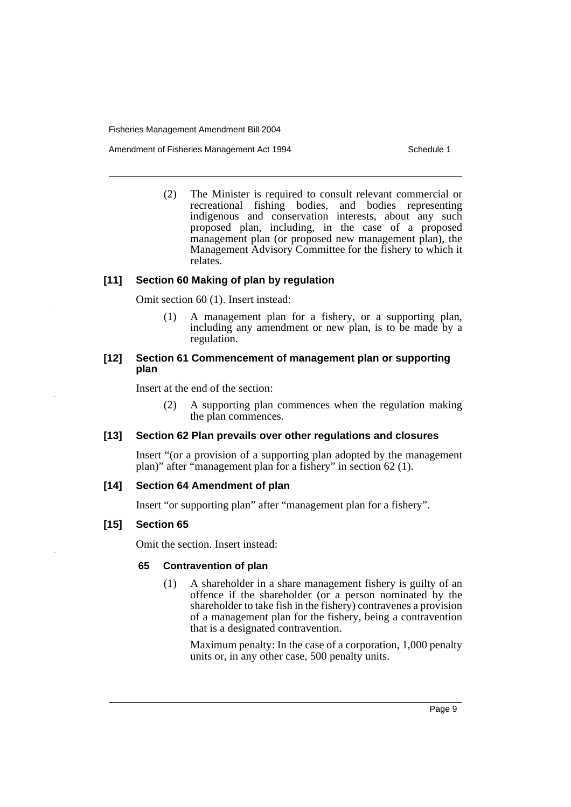Amendment of Fisheries Management Act 1994 Schedule 1

(2) The Minister is required to consult relevant commercial or recreational fishing bodies, and bodies representing indigenous and conservation interests, about any such proposed plan, including, in the case of a proposed management plan (or proposed new management plan), the Management Advisory Committee for the fishery to which it relates.

## **[11] Section 60 Making of plan by regulation**

Omit section 60 (1). Insert instead:

(1) A management plan for a fishery, or a supporting plan, including any amendment or new plan, is to be made by a regulation.

## **[12] Section 61 Commencement of management plan or supporting plan**

Insert at the end of the section:

(2) A supporting plan commences when the regulation making the plan commences.

## **[13] Section 62 Plan prevails over other regulations and closures**

Insert "(or a provision of a supporting plan adopted by the management plan)" after "management plan for a fishery" in section 62 (1).

## **[14] Section 64 Amendment of plan**

Insert "or supporting plan" after "management plan for a fishery".

## **[15] Section 65**

Omit the section. Insert instead:

## **65 Contravention of plan**

(1) A shareholder in a share management fishery is guilty of an offence if the shareholder (or a person nominated by the shareholder to take fish in the fishery) contravenes a provision of a management plan for the fishery, being a contravention that is a designated contravention.

Maximum penalty: In the case of a corporation, 1,000 penalty units or, in any other case, 500 penalty units.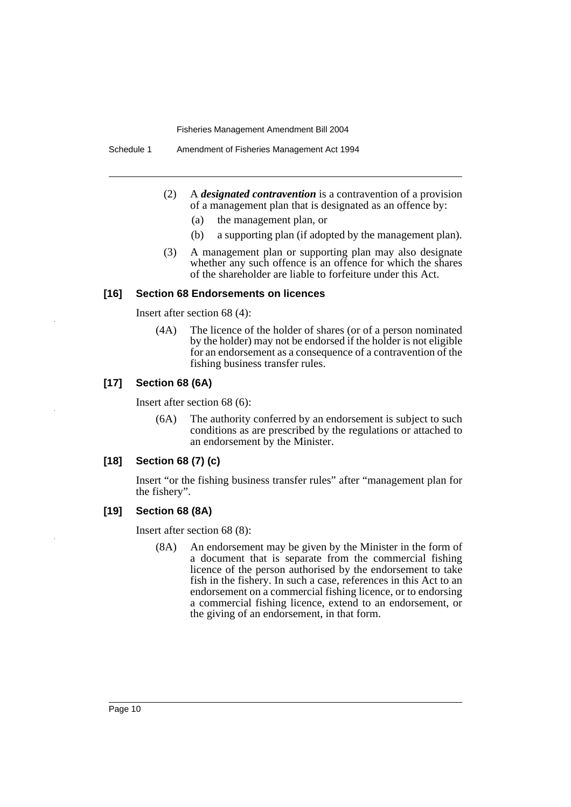Schedule 1 Amendment of Fisheries Management Act 1994

- (2) A *designated contravention* is a contravention of a provision of a management plan that is designated as an offence by:
	- (a) the management plan, or
	- (b) a supporting plan (if adopted by the management plan).
- (3) A management plan or supporting plan may also designate whether any such offence is an offence for which the shares of the shareholder are liable to forfeiture under this Act.

#### **[16] Section 68 Endorsements on licences**

Insert after section 68 (4):

(4A) The licence of the holder of shares (or of a person nominated by the holder) may not be endorsed if the holder is not eligible for an endorsement as a consequence of a contravention of the fishing business transfer rules.

#### **[17] Section 68 (6A)**

Insert after section 68 (6):

(6A) The authority conferred by an endorsement is subject to such conditions as are prescribed by the regulations or attached to an endorsement by the Minister.

## **[18] Section 68 (7) (c)**

Insert "or the fishing business transfer rules" after "management plan for the fishery".

#### **[19] Section 68 (8A)**

Insert after section 68 (8):

(8A) An endorsement may be given by the Minister in the form of a document that is separate from the commercial fishing licence of the person authorised by the endorsement to take fish in the fishery. In such a case, references in this Act to an endorsement on a commercial fishing licence, or to endorsing a commercial fishing licence, extend to an endorsement, or the giving of an endorsement, in that form.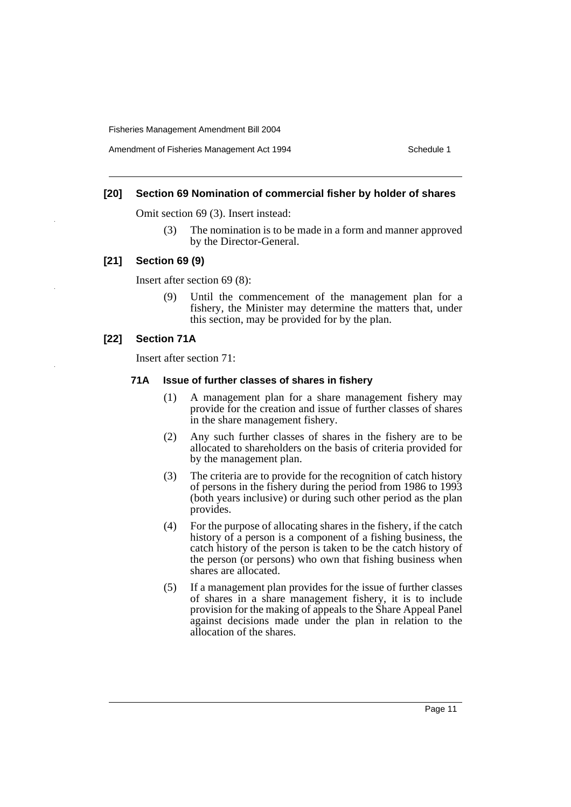Amendment of Fisheries Management Act 1994 Schedule 1

## **[20] Section 69 Nomination of commercial fisher by holder of shares**

Omit section 69 (3). Insert instead:

(3) The nomination is to be made in a form and manner approved by the Director-General.

#### **[21] Section 69 (9)**

Insert after section 69 (8):

(9) Until the commencement of the management plan for a fishery, the Minister may determine the matters that, under this section, may be provided for by the plan.

## **[22] Section 71A**

Insert after section 71:

#### **71A Issue of further classes of shares in fishery**

- (1) A management plan for a share management fishery may provide for the creation and issue of further classes of shares in the share management fishery.
- (2) Any such further classes of shares in the fishery are to be allocated to shareholders on the basis of criteria provided for by the management plan.
- (3) The criteria are to provide for the recognition of catch history of persons in the fishery during the period from 1986 to 1993 (both years inclusive) or during such other period as the plan provides.
- (4) For the purpose of allocating shares in the fishery, if the catch history of a person is a component of a fishing business, the catch history of the person is taken to be the catch history of the person (or persons) who own that fishing business when shares are allocated.
- (5) If a management plan provides for the issue of further classes of shares in a share management fishery, it is to include provision for the making of appeals to the Share Appeal Panel against decisions made under the plan in relation to the allocation of the shares.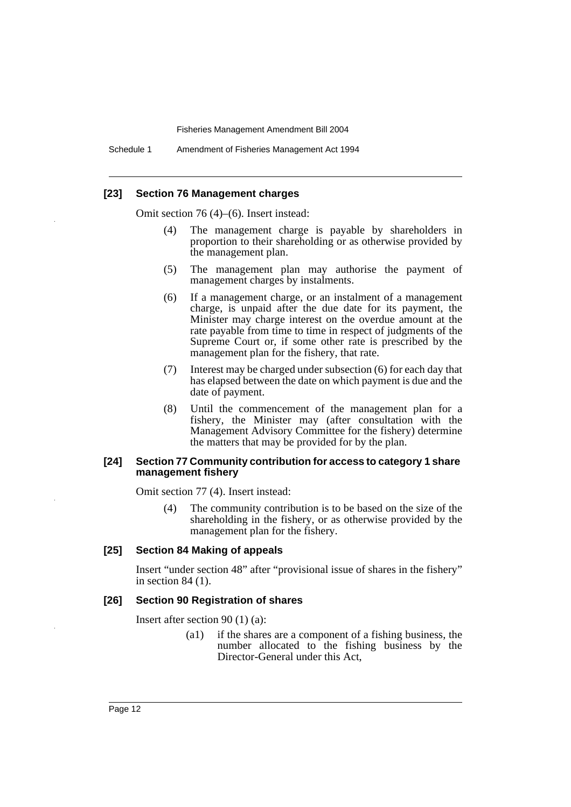Schedule 1 Amendment of Fisheries Management Act 1994

#### **[23] Section 76 Management charges**

Omit section 76 (4)–(6). Insert instead:

- (4) The management charge is payable by shareholders in proportion to their shareholding or as otherwise provided by the management plan.
- (5) The management plan may authorise the payment of management charges by instalments.
- (6) If a management charge, or an instalment of a management charge, is unpaid after the due date for its payment, the Minister may charge interest on the overdue amount at the rate payable from time to time in respect of judgments of the Supreme Court or, if some other rate is prescribed by the management plan for the fishery, that rate.
- (7) Interest may be charged under subsection (6) for each day that has elapsed between the date on which payment is due and the date of payment.
- (8) Until the commencement of the management plan for a fishery, the Minister may (after consultation with the Management Advisory Committee for the fishery) determine the matters that may be provided for by the plan.

#### **[24] Section 77 Community contribution for access to category 1 share management fishery**

Omit section 77 (4). Insert instead:

(4) The community contribution is to be based on the size of the shareholding in the fishery, or as otherwise provided by the management plan for the fishery.

#### **[25] Section 84 Making of appeals**

Insert "under section 48" after "provisional issue of shares in the fishery" in section 84 (1).

#### **[26] Section 90 Registration of shares**

Insert after section 90 (1) (a):

(a1) if the shares are a component of a fishing business, the number allocated to the fishing business by the Director-General under this Act,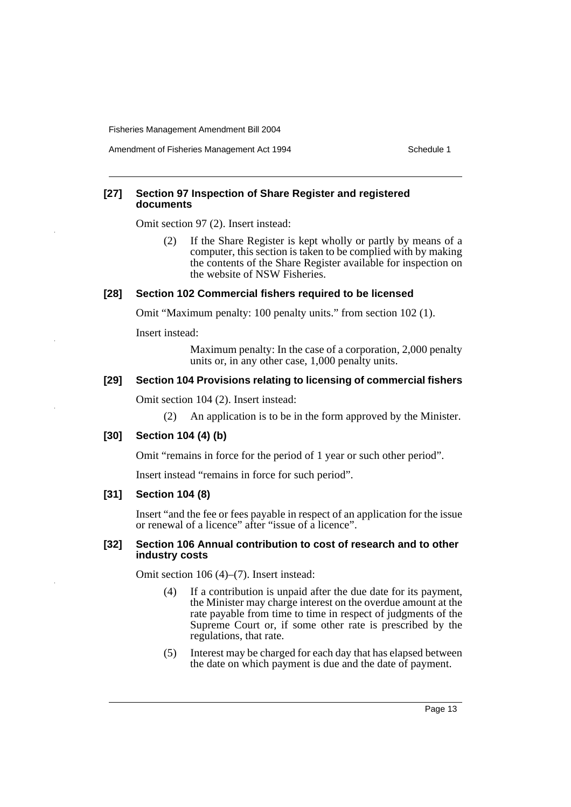Amendment of Fisheries Management Act 1994 Schedule 1

## **[27] Section 97 Inspection of Share Register and registered documents**

Omit section 97 (2). Insert instead:

(2) If the Share Register is kept wholly or partly by means of a computer, this section is taken to be complied with by making the contents of the Share Register available for inspection on the website of NSW Fisheries.

#### **[28] Section 102 Commercial fishers required to be licensed**

Omit "Maximum penalty: 100 penalty units." from section 102 (1).

Insert instead:

Maximum penalty: In the case of a corporation, 2,000 penalty units or, in any other case, 1,000 penalty units.

## **[29] Section 104 Provisions relating to licensing of commercial fishers**

Omit section 104 (2). Insert instead:

(2) An application is to be in the form approved by the Minister.

## **[30] Section 104 (4) (b)**

Omit "remains in force for the period of 1 year or such other period".

Insert instead "remains in force for such period".

## **[31] Section 104 (8)**

Insert "and the fee or fees payable in respect of an application for the issue or renewal of a licence" after "issue of a licence".

#### **[32] Section 106 Annual contribution to cost of research and to other industry costs**

Omit section 106 (4)–(7). Insert instead:

- (4) If a contribution is unpaid after the due date for its payment, the Minister may charge interest on the overdue amount at the rate payable from time to time in respect of judgments of the Supreme Court or, if some other rate is prescribed by the regulations, that rate.
- (5) Interest may be charged for each day that has elapsed between the date on which payment is due and the date of payment.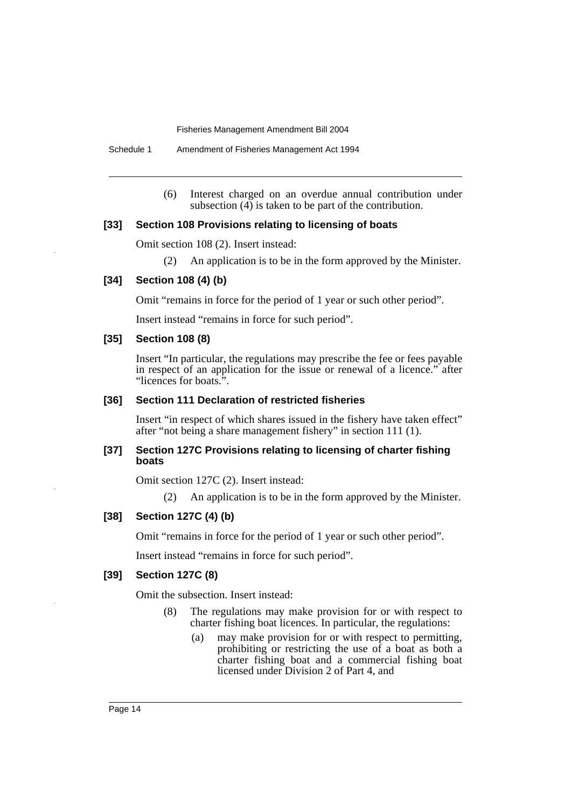Schedule 1 Amendment of Fisheries Management Act 1994

(6) Interest charged on an overdue annual contribution under subsection  $\overline{(4)}$  is taken to be part of the contribution.

### **[33] Section 108 Provisions relating to licensing of boats**

Omit section 108 (2). Insert instead:

(2) An application is to be in the form approved by the Minister.

#### **[34] Section 108 (4) (b)**

Omit "remains in force for the period of 1 year or such other period".

Insert instead "remains in force for such period".

## **[35] Section 108 (8)**

Insert "In particular, the regulations may prescribe the fee or fees payable in respect of an application for the issue or renewal of a licence." after "licences for boats.".

## **[36] Section 111 Declaration of restricted fisheries**

Insert "in respect of which shares issued in the fishery have taken effect" after "not being a share management fishery" in section 111 (1).

#### **[37] Section 127C Provisions relating to licensing of charter fishing boats**

Omit section 127C (2). Insert instead:

(2) An application is to be in the form approved by the Minister.

#### **[38] Section 127C (4) (b)**

Omit "remains in force for the period of 1 year or such other period".

Insert instead "remains in force for such period".

## **[39] Section 127C (8)**

Omit the subsection. Insert instead:

- (8) The regulations may make provision for or with respect to charter fishing boat licences. In particular, the regulations:
	- (a) may make provision for or with respect to permitting, prohibiting or restricting the use of a boat as both a charter fishing boat and a commercial fishing boat licensed under Division 2 of Part 4, and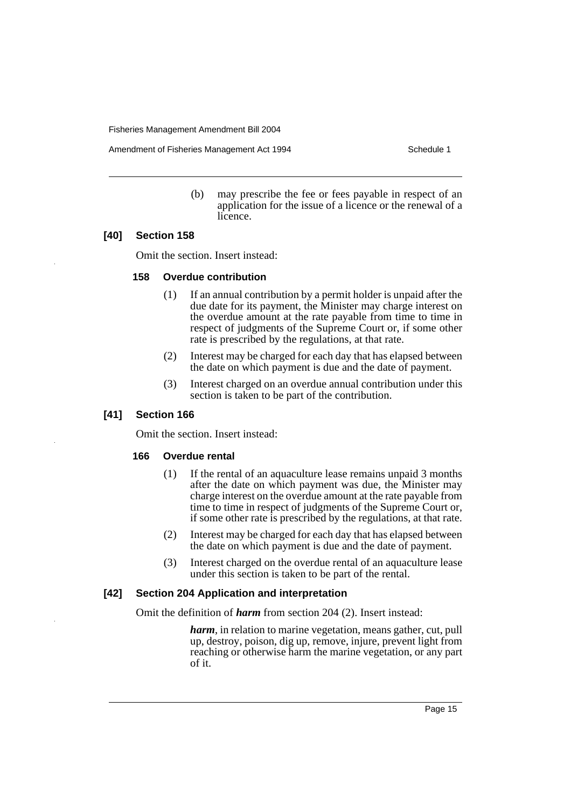Amendment of Fisheries Management Act 1994 Schedule 1

(b) may prescribe the fee or fees payable in respect of an application for the issue of a licence or the renewal of a licence.

#### **[40] Section 158**

Omit the section. Insert instead:

#### **158 Overdue contribution**

- (1) If an annual contribution by a permit holder is unpaid after the due date for its payment, the Minister may charge interest on the overdue amount at the rate payable from time to time in respect of judgments of the Supreme Court or, if some other rate is prescribed by the regulations, at that rate.
- (2) Interest may be charged for each day that has elapsed between the date on which payment is due and the date of payment.
- (3) Interest charged on an overdue annual contribution under this section is taken to be part of the contribution.

#### **[41] Section 166**

Omit the section. Insert instead:

#### **166 Overdue rental**

- (1) If the rental of an aquaculture lease remains unpaid 3 months after the date on which payment was due, the Minister may charge interest on the overdue amount at the rate payable from time to time in respect of judgments of the Supreme Court or, if some other rate is prescribed by the regulations, at that rate.
- (2) Interest may be charged for each day that has elapsed between the date on which payment is due and the date of payment.
- (3) Interest charged on the overdue rental of an aquaculture lease under this section is taken to be part of the rental.

#### **[42] Section 204 Application and interpretation**

Omit the definition of *harm* from section 204 (2). Insert instead:

*harm*, in relation to marine vegetation, means gather, cut, pull up, destroy, poison, dig up, remove, injure, prevent light from reaching or otherwise harm the marine vegetation, or any part of it.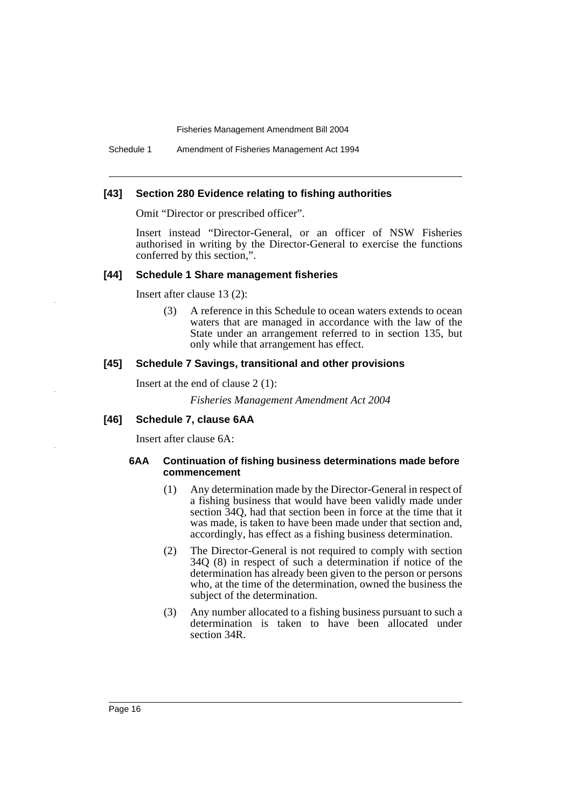Schedule 1 Amendment of Fisheries Management Act 1994

#### **[43] Section 280 Evidence relating to fishing authorities**

Omit "Director or prescribed officer".

Insert instead "Director-General, or an officer of NSW Fisheries authorised in writing by the Director-General to exercise the functions conferred by this section,".

#### **[44] Schedule 1 Share management fisheries**

Insert after clause 13 (2):

(3) A reference in this Schedule to ocean waters extends to ocean waters that are managed in accordance with the law of the State under an arrangement referred to in section 135, but only while that arrangement has effect.

#### **[45] Schedule 7 Savings, transitional and other provisions**

Insert at the end of clause 2 (1):

*Fisheries Management Amendment Act 2004*

## **[46] Schedule 7, clause 6AA**

Insert after clause 6A:

#### **6AA Continuation of fishing business determinations made before commencement**

- (1) Any determination made by the Director-General in respect of a fishing business that would have been validly made under section 34Q, had that section been in force at the time that it was made, is taken to have been made under that section and, accordingly, has effect as a fishing business determination.
- (2) The Director-General is not required to comply with section 34Q (8) in respect of such a determination if notice of the determination has already been given to the person or persons who, at the time of the determination, owned the business the subject of the determination.
- (3) Any number allocated to a fishing business pursuant to such a determination is taken to have been allocated under section 34R.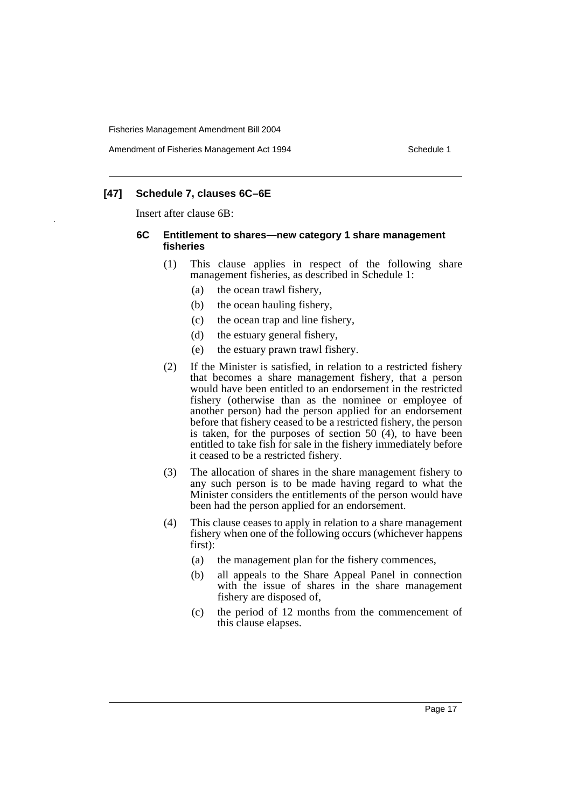Amendment of Fisheries Management Act 1994 Schedule 1

## **[47] Schedule 7, clauses 6C–6E**

Insert after clause 6B:

#### **6C Entitlement to shares—new category 1 share management fisheries**

- (1) This clause applies in respect of the following share management fisheries, as described in Schedule 1:
	- (a) the ocean trawl fishery,
	- (b) the ocean hauling fishery,
	- (c) the ocean trap and line fishery,
	- (d) the estuary general fishery,
	- (e) the estuary prawn trawl fishery.
- (2) If the Minister is satisfied, in relation to a restricted fishery that becomes a share management fishery, that a person would have been entitled to an endorsement in the restricted fishery (otherwise than as the nominee or employee of another person) had the person applied for an endorsement before that fishery ceased to be a restricted fishery, the person is taken, for the purposes of section 50 (4), to have been entitled to take fish for sale in the fishery immediately before it ceased to be a restricted fishery.
- (3) The allocation of shares in the share management fishery to any such person is to be made having regard to what the Minister considers the entitlements of the person would have been had the person applied for an endorsement.
- (4) This clause ceases to apply in relation to a share management fishery when one of the following occurs (whichever happens first):
	- (a) the management plan for the fishery commences,
	- (b) all appeals to the Share Appeal Panel in connection with the issue of shares in the share management fishery are disposed of,
	- (c) the period of 12 months from the commencement of this clause elapses.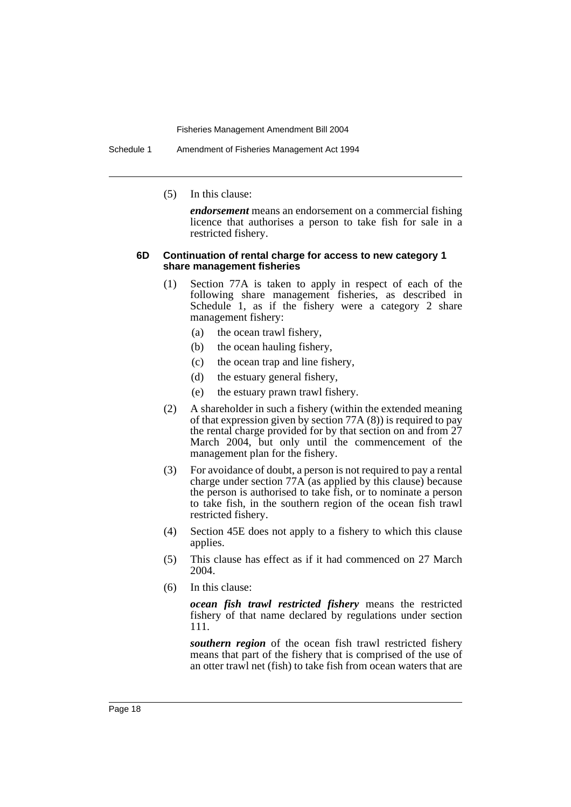Schedule 1 Amendment of Fisheries Management Act 1994

(5) In this clause:

*endorsement* means an endorsement on a commercial fishing licence that authorises a person to take fish for sale in a restricted fishery.

#### **6D Continuation of rental charge for access to new category 1 share management fisheries**

- (1) Section 77A is taken to apply in respect of each of the following share management fisheries, as described in Schedule 1, as if the fishery were a category 2 share management fishery:
	- (a) the ocean trawl fishery,
	- (b) the ocean hauling fishery,
	- (c) the ocean trap and line fishery,
	- (d) the estuary general fishery,
	- (e) the estuary prawn trawl fishery.
- (2) A shareholder in such a fishery (within the extended meaning of that expression given by section 77A (8)) is required to pay the rental charge provided for by that section on and from 27 March 2004, but only until the commencement of the management plan for the fishery.
- (3) For avoidance of doubt, a person is not required to pay a rental charge under section  $77A$  (as applied by this clause) because the person is authorised to take fish, or to nominate a person to take fish, in the southern region of the ocean fish trawl restricted fishery.
- (4) Section 45E does not apply to a fishery to which this clause applies.
- (5) This clause has effect as if it had commenced on 27 March 2004.
- (6) In this clause:

*ocean fish trawl restricted fishery* means the restricted fishery of that name declared by regulations under section 111.

*southern region* of the ocean fish trawl restricted fishery means that part of the fishery that is comprised of the use of an otter trawl net (fish) to take fish from ocean waters that are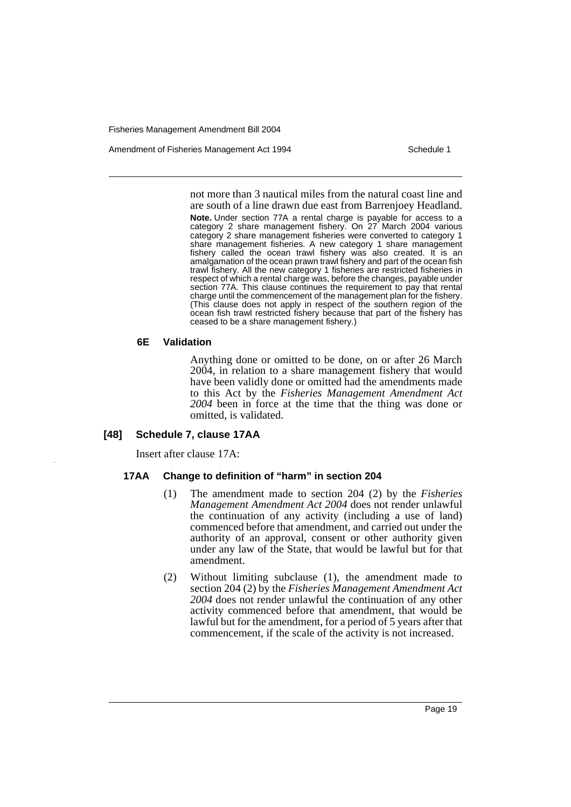Amendment of Fisheries Management Act 1994 Schedule 1

not more than 3 nautical miles from the natural coast line and are south of a line drawn due east from Barrenjoey Headland.

**Note.** Under section 77A a rental charge is payable for access to a category 2 share management fishery. On 27 March 2004 various category 2 share management fisheries were converted to category 1 share management fisheries. A new category 1 share management fishery called the ocean trawl fishery was also created. It is an amalgamation of the ocean prawn trawl fishery and part of the ocean fish trawl fishery. All the new category 1 fisheries are restricted fisheries in respect of which a rental charge was, before the changes, payable under section 77A. This clause continues the requirement to pay that rental charge until the commencement of the management plan for the fishery. (This clause does not apply in respect of the southern region of the ocean fish trawl restricted fishery because that part of the fishery has ceased to be a share management fishery.)

#### **6E Validation**

Anything done or omitted to be done, on or after 26 March 2004, in relation to a share management fishery that would have been validly done or omitted had the amendments made to this Act by the *Fisheries Management Amendment Act 2004* been in force at the time that the thing was done or omitted, is validated.

#### **[48] Schedule 7, clause 17AA**

Insert after clause 17A:

#### **17AA Change to definition of "harm" in section 204**

- (1) The amendment made to section 204 (2) by the *Fisheries Management Amendment Act 2004* does not render unlawful the continuation of any activity (including a use of land) commenced before that amendment, and carried out under the authority of an approval, consent or other authority given under any law of the State, that would be lawful but for that amendment.
- (2) Without limiting subclause (1), the amendment made to section 204 (2) by the *Fisheries Management Amendment Act 2004* does not render unlawful the continuation of any other activity commenced before that amendment, that would be lawful but for the amendment, for a period of 5 years after that commencement, if the scale of the activity is not increased.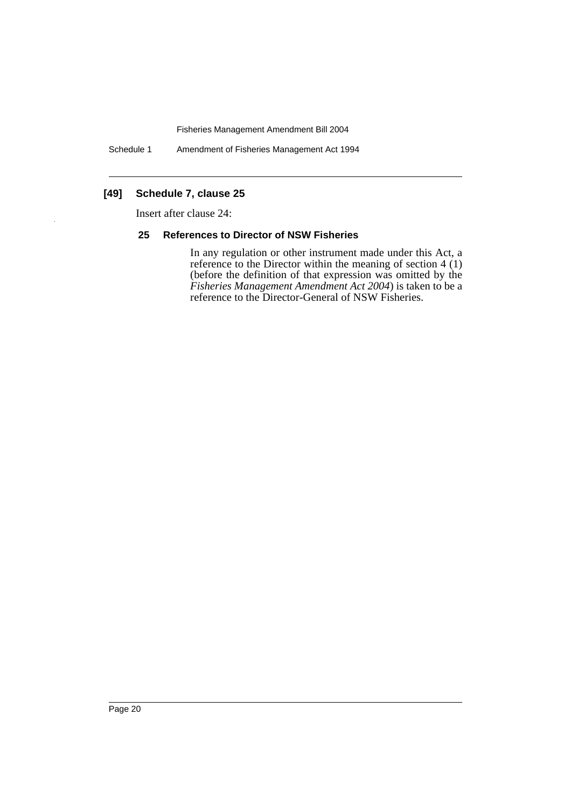Schedule 1 Amendment of Fisheries Management Act 1994

## **[49] Schedule 7, clause 25**

Insert after clause 24:

#### **25 References to Director of NSW Fisheries**

In any regulation or other instrument made under this Act, a reference to the Director within the meaning of section 4 (1) (before the definition of that expression was omitted by the *Fisheries Management Amendment Act 2004*) is taken to be a reference to the Director-General of NSW Fisheries.